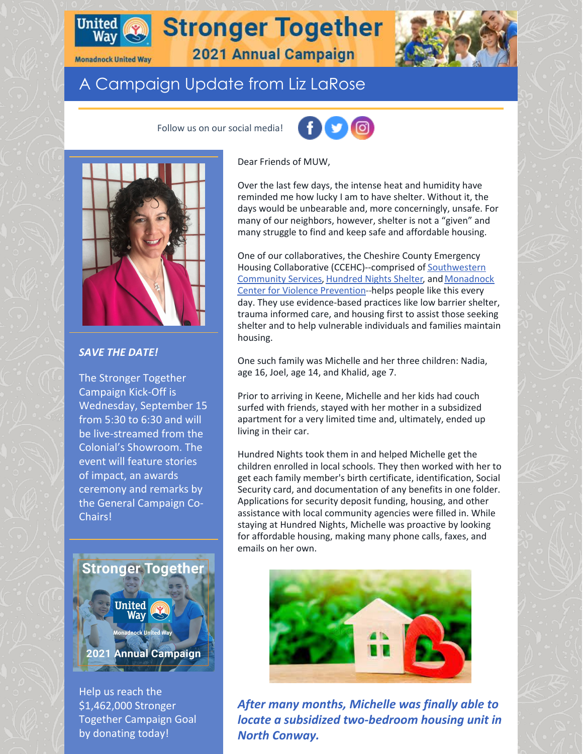

# **Stronger Together 2021 Annual Campaign**

**Monadnock United Way** 

## A Campaign Update from Liz LaRose

Follow us on our social media!





#### *SAVE THE DATE!*

The Stronger Together Campaign Kick-Off is Wednesday, September 15 from 5:30 to 6:30 and will be live-streamed from the Colonial's Showroom. The event will feature stories of impact, an awards ceremony and remarks by the General Campaign Co-Chairs!



Help us reach the \$1,462,000 Stronger Together Campaign Goal by donating today!

Dear Friends of MUW,

Over the last few days, the intense heat and humidity have reminded me how lucky I am to have shelter. Without it, the days would be unbearable and, more concerningly, unsafe. For many of our neighbors, however, shelter is not a "given" and many struggle to find and keep safe and affordable housing.

One of our collaboratives, the Cheshire County Emergency Housing Collaborative [\(CCEHC\)--comprised](https://www.scshelps.org/) of Southwestern Community Services, [Hundred](https://hundrednightsinc.org/) Nights Shelter, and Monadnock Center for Violence [Prevention--helps](https://mcvprevention.org/) people like this every day. They use evidence-based practices like low barrier shelter, trauma informed care, and housing first to assist those seeking shelter and to help vulnerable individuals and families maintain housing.

One such family was Michelle and her three children: Nadia, age 16, Joel, age 14, and Khalid, age 7.

Prior to arriving in Keene, Michelle and her kids had couch surfed with friends, stayed with her mother in a subsidized apartment for a very limited time and, ultimately, ended up living in their car.

Hundred Nights took them in and helped Michelle get the children enrolled in local schools. They then worked with her to get each family member's birth certificate, identification, Social Security card, and documentation of any benefits in one folder. Applications for security deposit funding, housing, and other assistance with local community agencies were filled in. While staying at Hundred Nights, Michelle was proactive by looking for affordable housing, making many phone calls, faxes, and emails on her own.



*After many months, Michelle was finally able to locate a subsidized two-bedroom housing unit in North Conway.*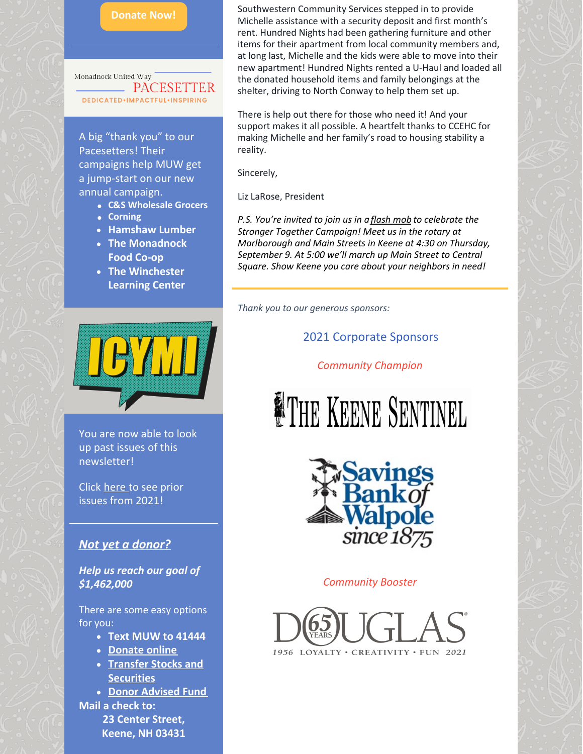

Monadnock United Way **PACESE DEDICATED** . IMPACTFUL . INSPIRING

A big "thank you" to our Pacesetters! Their campaigns help MUW get a jump-start on our new annual campaign.

- **C&S Wholesale Grocers**
- **Corning**
- **Hamshaw Lumber**
- **The Monadnock Food Co-op**
- **The Winchester Learning Center**



You are now able to look up past issues of this newsletter!

Click [here](https://www.muw.org/2021-newsletters) to see prior issues from 2021!

#### *Not yet a [donor?](https://app.mobilecause.com/f/1x8m/n?reset=1&%253Bid=1&vid=jioyd)*

*Help us reach our goal of \$1,462,000*

There are some easy options for you:

- **Text MUW to 41444**
- **[Donate](https://app.mobilecause.com/f/1x8m/n?reset=1&%253Bid=1&vid=jxr2e) online**
- **Transfer Stocks and [Securities](https://www.muw.org/planned-giving#stocks)**
- **Donor [Advised](https://www.muw.org/planned-giving#DAF) Fund Mail a check to: 23 Center Street, Keene, NH 03431**

Southwestern Community Services stepped in to provide Michelle assistance with a security deposit and first month's rent. Hundred Nights had been gathering furniture and other items for their apartment from local community members and, at long last, Michelle and the kids were able to move into their new apartment! Hundred Nights rented a U-Haul and loaded all the donated household items and family belongings at the shelter, driving to North Conway to help them set up.

There is help out there for those who need it! And your support makes it all possible. A heartfelt thanks to CCEHC for making Michelle and her family's road to housing stability a reality.

Sincerely,

Liz LaRose, President

*P.S. You're invited to join us in a [flash](https://www.muw.org/civicrm/event/info%3Fid%3D52%26reset%3D1) mob to celebrate the Stronger Together Campaign! Meet us in the rotary at Marlborough and Main Streets in Keene at 4:30 on Thursday, September 9. At 5:00 we'll march up Main Street to Central Square. Show Keene you care about your neighbors in need!*

*Thank you to our generous sponsors:*

### 2021 Corporate Sponsors

*Community Champion*

# **FIHE KEENE SENTINEL**



#### *Community Booster*